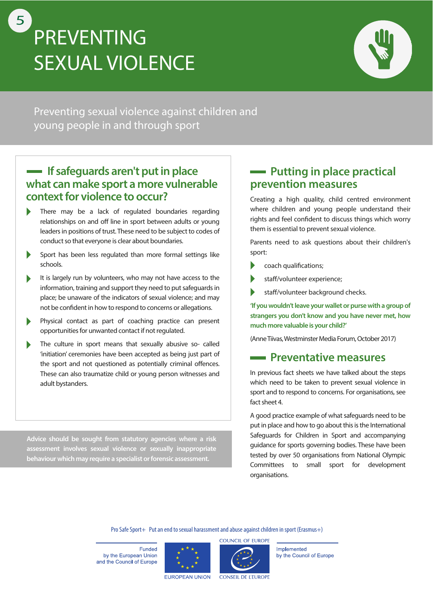# **PREVENTING SEXUAL VIOLENCE** 5



Preventing sexual violence against children and young people in and through sport

### **If safeguards aren't put in place what can make sport a more vulnerable context for violence to occur?**

- $\blacktriangleright$ There may be a lack of regulated boundaries regarding relationships on and off line in sport between adults or young leaders in positions of trust. These need to be subject to codes of conduct so that everyone is clear about boundaries.
- $\blacktriangleright$ Sport has been less regulated than more formal settings like schools.
- It is largely run by volunteers, who may not have access to the D information, training and support they need to put safeguards in place; be unaware of the indicators of sexual violence; and may not be confident in how to respond to concerns or allegations.
- Physical contact as part of coaching practice can present  $\blacktriangleright$ opportunities for unwanted contact if not regulated.
- The culture in sport means that sexually abusive so- called  $\blacktriangleright$ 'initiation' ceremonies have been accepted as being just part of the sport and not questioned as potentially criminal offences. These can also traumatize child or young person witnesses and adult bystanders.

**Advice should be sought from statutory agencies where a risk assessment involves sexual violence or sexually inappropriate behaviour which may require a specialist or forensic assessment.**

## **Putting in place practical prevention measures**

Creating a high quality, child centred environment where children and young people understand their rights and feel confident to discuss things which worry them is essential to prevent sexual violence.

Parents need to ask questions about their children's sport:

- $\blacktriangleright$ coach qualifications;
- staff/volunteer experience;
- staff/volunteer background checks.

**'If you wouldn't leave your wallet or purse with a group of strangers you don't know and you have never met, how much more valuable is your child?'**

(Anne Tiivas, Westminster Media Forum, October 2017)

#### **Preventative measures**

In previous fact sheets we have talked about the steps which need to be taken to prevent sexual violence in sport and to respond to concerns. For organisations, see fact sheet 4.

A good practice example of what safeguards need to be put in place and how to go about this is the International Safeguards for Children in Sport and accompanying guidance for sports governing bodies. These have been tested by over 50 organisations from National Olympic Committees to small sport for development organisations.

Pro Safe Sport+ Put an end to sexual harassment and abuse against children in sport (Erasmus+)

Funded by the European Union and the Council of Europe





Implemented by the Council of Europe